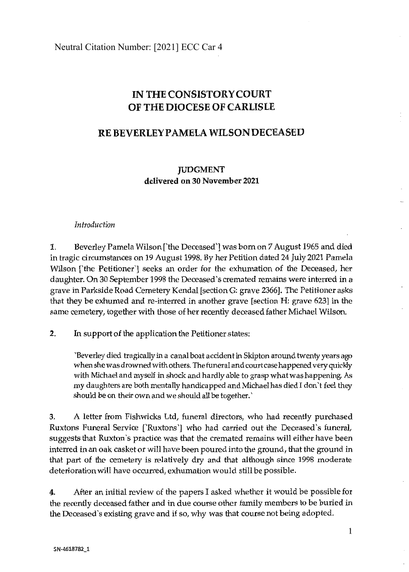Neutral Citation Number: [2021] ECC Car 4

## **IN THE CONSISTORY COURT OF THE DIOCESE OF CARLISLE**

## RE BEVERLEY PAMELA WILSON DECEASED

**JUDGMENT delivered on 30 November 2021** 

## *Introductio<sup>n</sup>*

**1.** Beverley Pamela Wilson ['the Deceased'] was born on 7 August 1965 and died in tragic circumstances on 19 August 1998. By her Petition dated 24 July 2021 Pamel<sup>a</sup> Wilson ['the Petitioner'] seeks an order for the exhumation of the Deceased, her daughter. On 30 September 1998 the Deceased 's cremated remains were interred in <sup>a</sup> grave in Parkside Road Cemetery Kendal [section G: grave 2366]. The Petitioner asks that they be exhumed and re-interred in another grave [section H: grave 623] in the <sup>s</sup>ame cemetery, together <sup>w</sup>ith those of her recently deceased father Michael Wilson.

**<sup>2</sup>.** In <sup>s</sup>upport of the application the Petitioner states:

'Beverl<sup>e</sup>y died tragically in a canal boat accident in Skipton around twenty years ago <sup>w</sup>hen sh<sup>e</sup>was dr<sup>o</sup>wned with others. The funeral and court case happened ve<sup>r</sup>y quickly <sup>w</sup>ith Michael and <sup>m</sup>yself in shock and hardly <sup>a</sup>ble t<sup>o</sup>grasp <sup>w</sup>hat was happening. *As*  <sup>m</sup>y daughters are both mentally handicapped and Michael has died I don't feel they <sup>s</sup>hould be on their <sup>o</sup>wn and we sh<sup>o</sup>uld all be together.'

3. A letter from Fishwicks Ltd, funeral directors, <sup>w</sup>ho had recently purchased Ruxtons Funeral Service ['Ruxtons'] who had carried out the Deceased's funeral, suggests that Ruxton's practice was that the cremated remains will either have been interred in an oak casket or will have been poured into the ground, that the ground in that part of the cemetery is relatively dry and that although since 1998 moderate deterioration will have occurred, exhumation would still be possible.

4. After an initial review of the papers I asked whether it would be possible for the recently deceased father and in due course other family members to be buried in the Deceased 's existing grave and if so, <sup>w</sup>hy was that course not being adopted.

l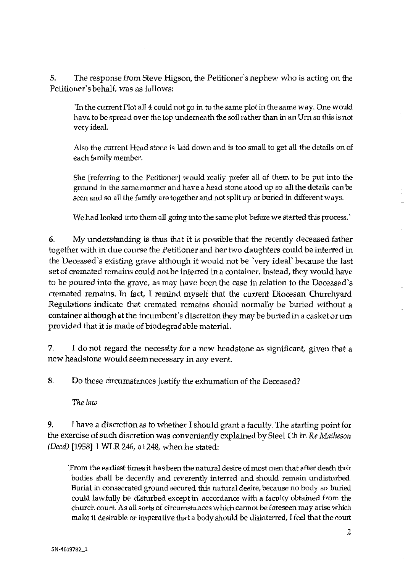5. The response from Steve Higson, the Petitioner's nephew who is acting on the Petitioner 's behalf, was as foll<sup>o</sup>ws:

'In th<sup>e</sup>current Plot all 4 could not go in to th<sup>e</sup>same plot in th<sup>e</sup>same way. One w<sup>o</sup>uld have to be spread over the top underneath the soil rather than in an Urn so this is not <sup>v</sup>e<sup>r</sup>y ideal.

Also the current Head stone is laid down and is too small to get all the details on of <sup>e</sup>ach family <sup>m</sup>emb<sup>e</sup>r.

She [referring to the Petitioner] would really prefer all of them to be put into the ground in the same manner and have a head stone stood up so all the details can be <sup>s</sup>een and so all the family are togeth<sup>e</sup>r and not split up or buried in different ways.

We had looked into them all going into the same plot before we started this process.'

**6.** My understanding is thus that it is possible that the recently deceased father <sup>t</sup>og<sup>e</sup>th<sup>e</sup>r with in due course the Petitioner and h<sup>e</sup>r two d<sup>a</sup>ughters could be interr<sup>e</sup>d i<sup>n</sup> the Deceased's existing grave although it would not be 'very ideal' because the last <sup>s</sup>et of cremated remains could not be interr<sup>e</sup>d in a container. Instead, th<sup>e</sup>y <sup>w</sup>ould h<sup>a</sup>v<sup>e</sup> to be poured into the grave, as may have been the case in relation to the Deceased's cremated remains. In fact, I remind myself that the current Diocesan Churchyard <sup>R</sup>egulations indicate that cremated remains sh<sup>o</sup>uld normally be buried with<sup>o</sup>ut <sup>a</sup> <sup>c</sup>ontainer alth<sup>o</sup>ugh at the incumb<sup>e</sup>nt's discretion th<sup>e</sup>y <sup>m</sup>ay be buried in a casket or u<sup>m</sup> provided that it is mad<sup>e</sup>of biod<sup>e</sup>gradable material.

**7.** I do not regard the necessity for a new headstone as significant, given that a <sup>n</sup>ew h<sup>e</sup>adstone w<sup>o</sup>uld seem necessary in any event.

8. Do these circumstances justify the exhumation of the Deceased?

*The la<sup>w</sup>*

9. I have a discretion as to whether I should grant a faculty. The starting point for the exercise of <sup>s</sup>uch discr<sup>e</sup>tion was conv<sup>e</sup>ni<sup>e</sup>ntly explained by Steel Ch in *Re Matheso<sup>n</sup> (Deed)* [1958] 1 WLR 246, at 248, <sup>w</sup>h<sup>e</sup>n h<sup>e</sup>stated:

`From the earliest times it has been the natural desire of most men that after death their bodi<sup>e</sup>s shall be d<sup>e</sup>cently and reverently interr<sup>e</sup>d and should remain undisturbed. <sup>B</sup>u<sup>r</sup>ial in consecrated grou<sup>n</sup>d secur<sup>e</sup>d this natural desire, because no body so buried <sup>c</sup>ould l<sup>a</sup>wfully be disturbed <sup>e</sup>xcept in accordance with a fa<sup>c</sup>ulty obtain<sup>e</sup>d from th<sup>e</sup> church court. As all sorts of circumstances which cannot be foreseen may <sup>a</sup>rise which make it desirable or imperative that a body should be disinterred, I feel that the court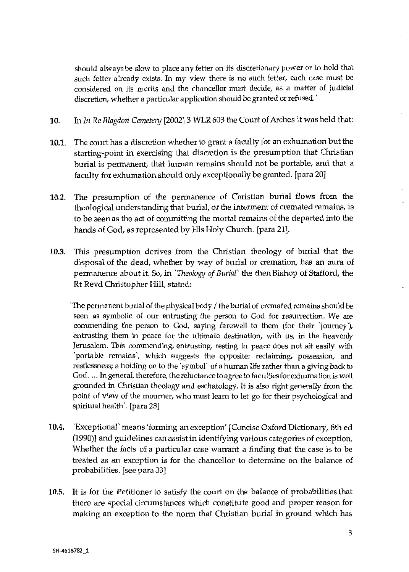should always be slow to place any fetter on its discretionary power or to hold that such fetter already exists. In my view there is no such fetter, each case must be considered on its merits and the chancellor must decide, as a matter of judicial discretion, whether a particular application should be granted or refused.'

- **10.** In *In Re Blagdon Cemetery* [2002] 3 WLR 603 the Court of Arches it was held that:
- **10.1.** The court has a discretion whether to grant a faculty for an exhumation but the starting-point in exercising that discretion is the presumption that Christian burial is permanent, that human remains should not be portable, and that a faculty for exhumation should only exceptionally be granted. [para 20]
- **10.2.** The presumption of the permanence of Christian burial flows from the theological understanding that burial, or the interment of cremated remains, is to be seen as the act of committing the mortal remains of the departed into the hands of God, as represented by His Holy Church. [para 21].
- **10.3.** This presumption derives from the Christian theology of burial that the disposal of the dead, whether by way of burial or cremation, has an aura of permanence about it. So, in *'Theology of Burial'* the then Bishop of Stafford, the Rt Revd Christopher **Hill,** stated:

'The permanent burial of the physical body/ the burial of cremated remains should be seen as symbolic of our entrusting the person to God for resurrection. We are commending the person to God, saying farewell to them (for their journey), entrusting them in peace for the ultimate destination, with us, in the heavenly Jerusalem. This commending, entrusting, resting in peace does not sit easily with 'portable remains', which suggests the opposite: reclaiming, possession, and restlessness; a holding on to the 'symbol' of a human life rather than a giving back to God. ... In general, therefore, the reluctance to agree to faculties for exhumation is well grounded in Christian theology and eschatology. It is also right generally from the point of view of the mourner, who must learn to let go for their psychological and spiritual health'. (para 23)

- **10.4.** 'Exceptional' means 'forming an exception' [Concise Oxford Dictionary, 8th ed (1990)] and guidelines can assist in identifying various categories of exception. Whether the facts of a particular case warrant a finding that the case is to be treated as an exception is for the chancellor to determine on the balance of probabilities. [see para 33)
- **10.5.** It is for the Petitioner to satisfy the court on the balance of probabilities that there are special circumstances which constitute good and proper reason for making an exception to the norm that Christian burial in ground which has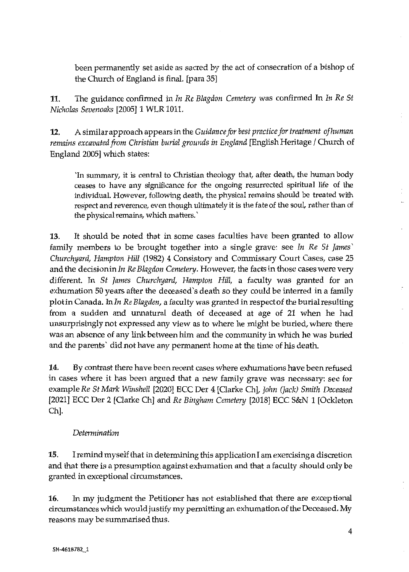been permanently set aside as sacred by the act of consecration of a bishop of the Church of England is final. [para 35]

**11.** The guidance confirmed in *In Re Blagdon Cemetery* was confirmed In *In Re St Nicholas Sevenoaks* [2005] 1 WLR 1011.

**12.** A similar approach appears in the *Guidance for best practice for treatment of human remains excavated from Christian burial grounds in England* [English Heritage / Church of England 2005] which states:

'In summary, it is central to Christian theology that, after death, the human body ceases to have any significance for the ongoing resurrected spiritual life of the individual. However, following death, the physical remains should be treated with respect and reverence, even though ultimately it is the fate of the soul, rather than of the physical remains, which matters.'

13. It should be noted that in some cases faculties have been granted to allow family members to be brought together into a single grave: see *In Re St James' Churchyard, Hampton Hill* (1982) 4 Consistory and Commissary Court Cases, case 25 and the decision in *In Re Blagdon Cemetery.* However, the facts in those cases were very different. In *St James Churchyard, Hampton Hill,* a faculty was granted for an exhumation 50 years after the deceased 's death so they could be interred in a family <sup>p</sup>lot in Canada. *Inln Re Blagden,* a faculty was granted in respectof the burial resulting from a sudden and unnatural death of deceased at age of 21 when he had unsurprisingly not expressed any view as to where he might be buried, where there was an absence of any link between him and the community in which he was buried and the parents' did not have any permanent home at the time of his death.

14. By contrast there have been recent cases where exhumations have been refused in cases where it has been argued that a new family grave was necessary: see for example *Re St Mark Winshell* [2020] ECC Der 4 [Clarke Ch], *John (Jack) Smith Deceased*  [2021] ECC Der 2 (Oarke Ch] and *Re Bingham Cemetery* [2018] ECC S&N 1 [Ockleton Ch].

## *Determination*

**15.** I remind myself that in determining this application I am exercising a discretion and that there is a presumption against exhumation and that a faculty should only be granted in exceptional circumstances.

**16.** In my judgment the Petitioner has not established that there are exceptional circumstances which would justify my permitting an exhumation of the Deceased. My reasons may be summarised thus.